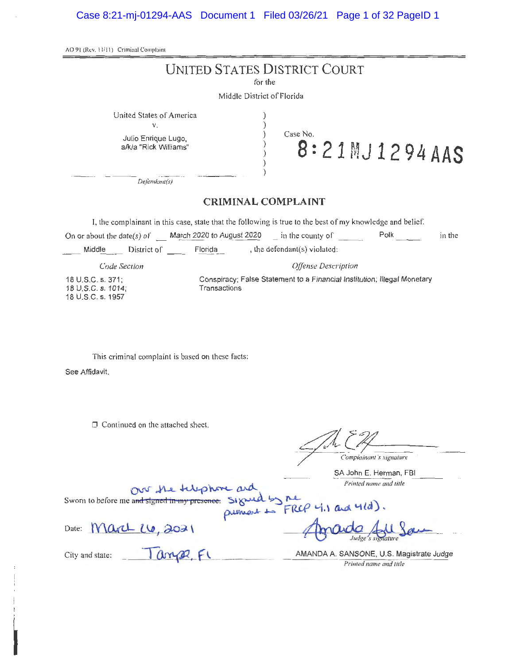| AO 91 (Rev. 11/11) Criminal Complaint                                                                                                                                                                                    |
|--------------------------------------------------------------------------------------------------------------------------------------------------------------------------------------------------------------------------|
| UNITED STATES DISTRICT COURT<br>for the                                                                                                                                                                                  |
| Middle District of Florida                                                                                                                                                                                               |
| United States of America<br>٧.<br>Case No.<br>Julio Enrique Lugo,<br>$8:21$ MJ 1294 AAS<br>a/k/a "Rick Williams"                                                                                                         |
| Defendant(s)                                                                                                                                                                                                             |
| <b>CRIMINAL COMPLAINT</b>                                                                                                                                                                                                |
| I, the complainant in this case, state that the following is true to the best of my knowledge and belief.<br>On or about the date(s) of $\frac{1}{2020}$ to August 2020 $\frac{1}{2020}$ in the county of Polk<br>in the |
| , the defendant(s) violated:<br>District of Florida<br>Middle                                                                                                                                                            |
| Offense Description<br>Code Section                                                                                                                                                                                      |
| Conspiracy; False Statement to a Financial Institution; Illegal Monetary<br>18 U.S.C. s. 371;<br>Transactions<br>18 U.S.C. s. 1014;<br>18 U.S.C. s. 1957                                                                 |
| This criminal complaint is based on these facts:<br>See Affidavit.<br>□ Continued on the attached sheet.                                                                                                                 |
| Complainant's signature<br>SA John E. Herman, FBI                                                                                                                                                                        |
| Printed name and title<br>our he tuppore and<br>Sworn to before me and signed in my presence. Signed by me                                                                                                               |
| $M$ art $U$ , 2021<br>Date:                                                                                                                                                                                              |
| anse Fl<br>AMANDA A. SANSONE, U.S. Magistrate Judge<br>City and state:<br>Printed name and title                                                                                                                         |
|                                                                                                                                                                                                                          |

I

I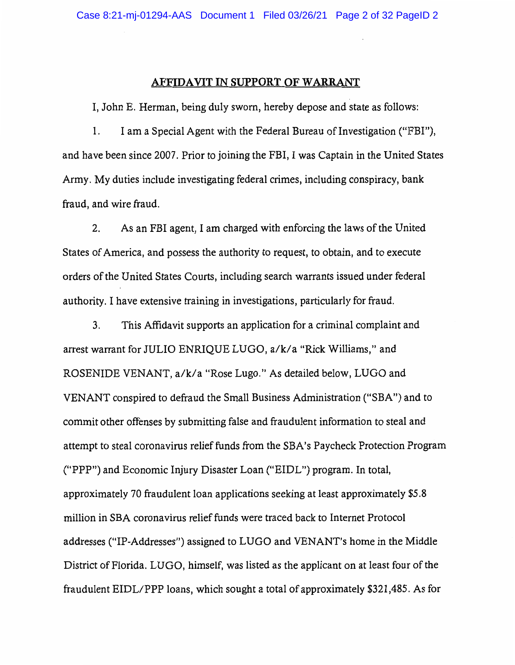#### **AFFIDAVIT IN SUPPORT OF WARRANT**

I, John E. Herman, being duly sworn, hereby depose and state as follows:

1. I am a Special Agent with the Federal Bureau of Investigation ("FBI"), and have been since 2007. Prior to joining the FBI, I was Captain in the United States Army. My duties include investigating federal crimes, including conspiracy, bank fraud, and wire fraud.

2. As an FBI agent, I am charged with enforcing the laws of the United States of America, and possess the authority to request, to obtain, and to execute orders of the United States Courts, including search warrants issued under federal authority. I have extensive training in investigations, particularly for fraud.

3. This Affidavit supports an application for a criminal complaint and arrest warrant for JULIO ENRIQUE LUGO, a/k/a "Rick Williams," and ROSENIDE VENANT, a/k/a "Rose Lugo." As detailed below, LUGO and VENANT conspired to defraud the Small Business Administration ("SBA") and to commit other offenses by submitting false and fraudulent information to steal and attempt to steal coronavirus relief funds from the SBA's Paycheck Protection Program ("PPP") and Economic Injury Disaster Loan ("EIDL") program. In total, approximately 70 fraudulent loan applications seeking at least approximately \$5.8 million in SBA coronavirus relief funds were traced back to Internet Protocol addresses ("IP-Addresses") assigned to LUGO and VENANT's home in the Middle District of Florida. LUGO, himself, was listed as the applicant on at least four of the fraudulent EIDL/PPP loans, which sought a total of approximately \$321,485. As for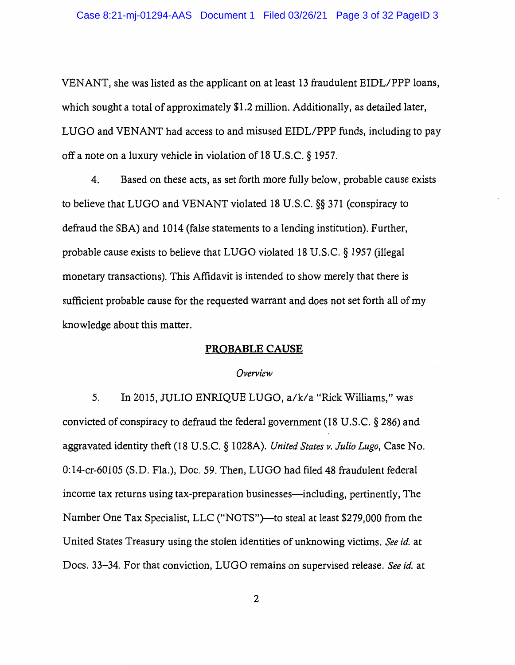VENANT, she was listed as the applicant on at least 13 fraudulent EIDL/PPP loans, which sought a total of approximately \$1.2 million. Additionally, as detailed later, LUGO and VENANT had access to and misused EIDL/PPP funds, including to pay off a note on a luxury vehicle in violation of 18 U.S.C.  $\S$  1957.

4. Based on these acts, as set forth more fully below, probable cause exists to believe. that LUGO and VENANT violated 18 U.S.C. §§ 371 (conspiracy to defraud the SBA) and 1014 (false statements to a lending institution). Further, probable cause exists to believe that LUGO violated 18 U.S.C. § 1957 (illegal monetary transactions). This Affidavit is intended to show merely that there is sufficient probable cause for the requested warrant and does not set forth all of my knowledge about this matter.

#### **PROBABLE CAUSE**

#### *Overview*

5. In 2015, JULIO ENRIQUE LUGO, a/k/a "Rick Williams," was convicted of conspiracy to defraud the federal government (18 U.S.C. § 286) and aggravated identity theft (18 U.S.C. § 1028A). *United States v. Julio Lugo,* Case No. 0:14-cr-60105 (S.D. Fla.), Doc. 59. Then, LUGO had filed 48 fraudulent federal income tax returns using tax-preparation businesses—including, pertinently, The Number One Tax Specialist, LLC ("NOTS")—to steal at least \$279,000 from the United States Treasury using the stolen identities of unknowing victims. *See id.* at Docs. 33-34. For that conviction, LUGO remains on supervised release. *See id.* at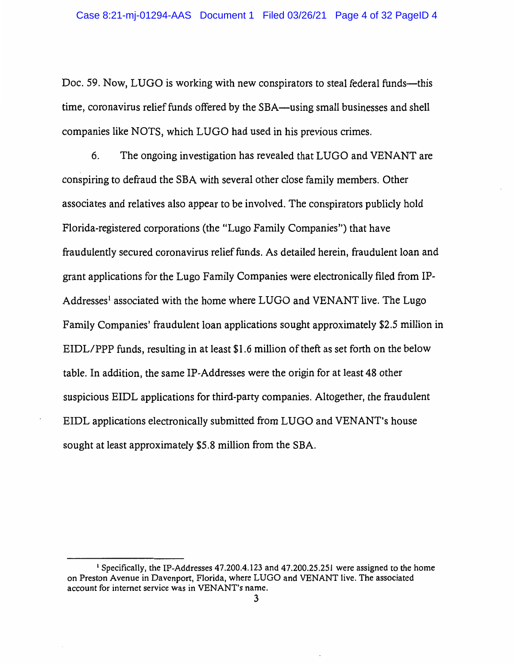Doc. 59. Now, LUGO is working with new conspirators to steal federal funds—this time, coronavirus relief funds offered by the SBA—using small businesses and shell companies like NOTS, which LUGO had used in his previous crimes.

6. The ongoing investigation has revealed that LUGO and VENANT are conspiring to defraud the SBA with several other close family members. Other associates and relatives also appear to be involved. The conspirators publicly hold Florida-registered corporations (the "Lugo Family Companies") that have fraudulently secured coronavirus relief funds. As detailed herein, fraudulent loan and grant applications for the Lugo Family Companies were electronically filed from IP-Addresses<sup>1</sup> associated with the home where LUGO and VENANT live. The Lugo Family Companies' fraudulent loan applications sought approximately \$2.5 million in EIDL/PPP funds, resulting in at least \$1.6 million of theft as set forth on the below table. In addition, the same IP-Addresses were the origin for at least 48 other suspicious EIDL applications for third-party companies. Altogether, the fraudulent EIDL applications electronically submitted from LUGO and VENANT's house sought at least approximately \$5.8 million from the SBA.

<sup>1</sup>Specifically, the IP-Addresses 47.200.4.123 and 47.200.25.251 were assigned to the home on Preston Avenue in Davenport, Florida, where LUGO and VENANT live. The associated account for internet service was in VENANT's name.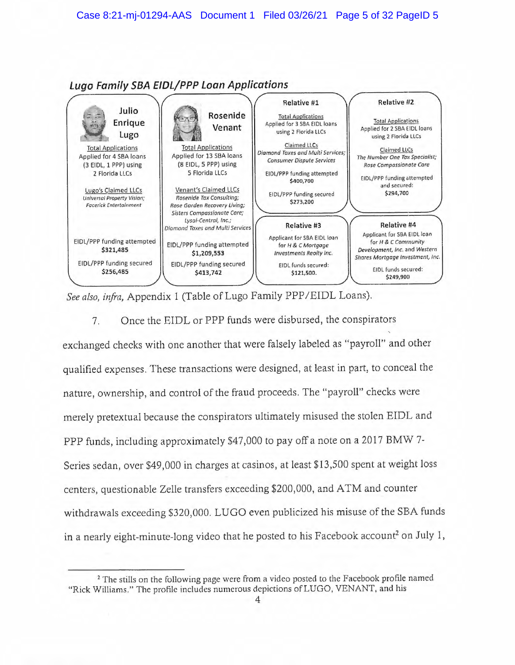

**Lugo Family SBA EIDL/PPP Loan Applications** 

*See also, infra,* Appendix 1 (Table of Lugo Family PPP /EIDL Loans).

7. Once the EIDL or PPP funds were disbursed, the conspirators exchanged checks with one another that were falsely labeled as "payroll" and other qualified expenses. These transactions were designed, at least in part, to conceal the nature, ownership, and control of the fraud proceeds. The "payroll" checks were merely pretextual because the conspirators ultimately misused the stolen EIDL and PPP funds, including approximately \$47,000 to pay off a note on a 2017 BMW 7-Series sedan, over \$49,000 in charges at casinos, at least \$13,500 spent at weight loss centers, questionable Zelle transfers exceeding \$200,000, and ATM and counter withdrawals exceeding \$320,000. LUGO even publicized his misuse of the SBA funds in a nearly eight-minute-long video that he posted to his Facebook account<sup>2</sup> on July 1,

<sup>&</sup>lt;sup>2</sup> The stills on the following page were from a video posted to the Facebook profile named "Rick Williams." The profile includes numerous depictions of LUGO, VENANT, and his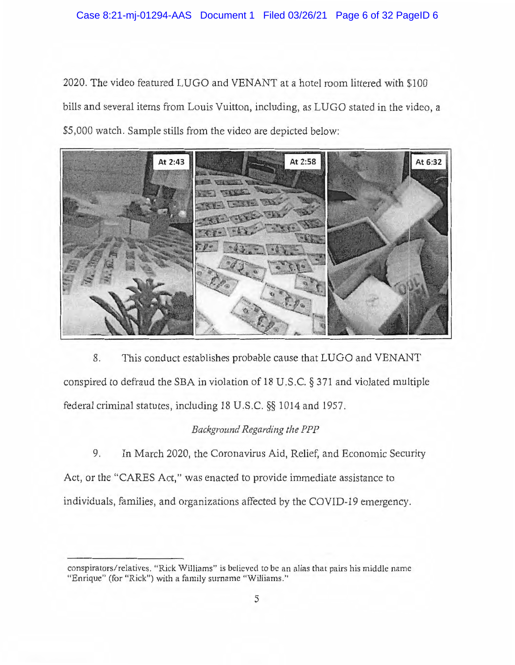2020. The video featured LUGO and VENANT at a hotel room littered with \$100 bills and several items from Louis Vuitton, including, as LUGO stated in the video, a \$5,000 watch. Sample stills from the video are depicted below:



8. This conduct establishes probable cause that LUGO and VENANT conspired to defraud the SBA in violation of 18 U.S.C. § 371 and violated multiple federal criminal statutes, including 18 U.S.C. §§ 1014 and 1957.

# *Background Regarding the PPP*

9. In March 2020, the Coronavirus Aid, Relief, and Economic Security Act, or the "CARES Act," was enacted to provide immediate assistance to individuals, families, and organizations affected by the COVID-19 emergency.

conspirators/ relatives. "Rick Williams" is believed to be an alias that pairs his middle name "Enrique" (for "Rick") with a family surname "Williams."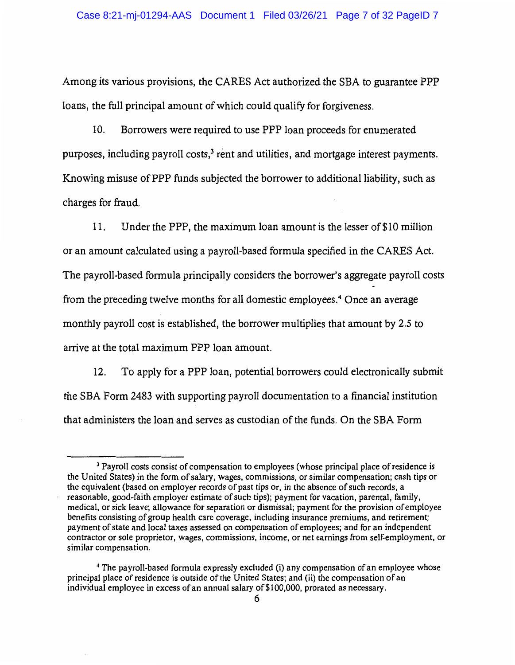Among its various provisions, the CARES Act authorized the SBA to guarantee PPP loans, the full principal amount of which could qualify for forgiveness.

10. Borrowers were required to use PPP loan proceeds for enumerated purposes, including payroll costs, $3$  rent and utilities, and mortgage interest payments. Knowing misuse of PPP funds subjected the borrower to additional liability, such as charges for fraud.

11. Under the PPP, the maximum loan amount is the lesser of \$10 million or an amount calculated using a payroll-based formula specified in the CARES Act. The payroll-based formula principally considers the borrower's aggregate payroll costs from the preceding twelve months for all domestic employees.<sup>4</sup> Once an average monthly payroll cost is established, the borrower multiplies that amount by 2.5 to arrive at the total maximum PPP loan amount.

12. To apply for a PPP loan, potential borrowers could electronically submit the SBA Form 2483 with supporting payroll documentation to a financial institution that administers the loan and serves as custodian of the funds. On the SBA Form

<sup>&</sup>lt;sup>3</sup> Payroll costs consist of compensation to employees (whose principal place of residence is the United States) in the form of salary, wages, commissions, or similar compensation; cash tips or the equivalent (based on employer records of past tips or, in the absence of such records, a , reasonable, good-faith employer estimate of such tips); payment for vacation, parental, family, medical, or sick leave; allowance for separation or dismissal; payment for the provision of employee benefits consisting of group health care coverage, including insurance premiums, and retirement; payment of state and local taxes assessed on compensation of employees; and for an independent contractor or sole proprietor, wages, commissions, income, or net earnings from self-employment, or similar compensation.

<sup>4</sup>The payroll-based formula expressly excluded (i) any compensation of an employee whose principal place of residence is outside of the United States; and (ii) the compensation of an individual employee in excess of an annual salary of\$100,000, prorated as necessary.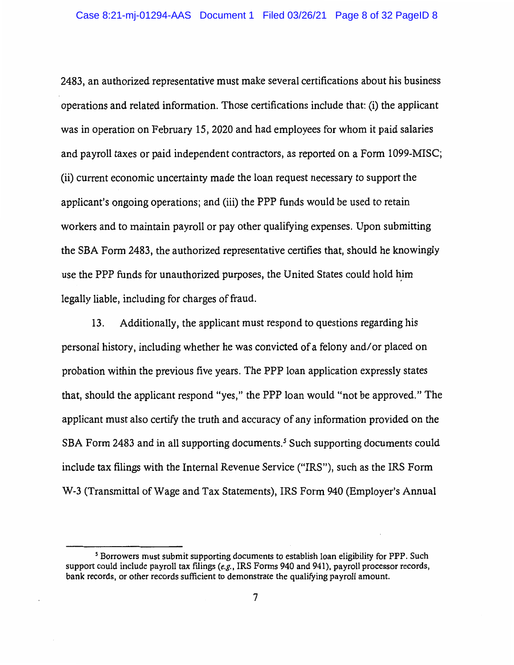2483, an authorized representative must make several certifications about his business operations and related information. Those certifications include that: (i) the applicant was in operation on February 15, 2020 and had employees for whom it paid salaries and payroll taxes or paid independent contractors, as reported on a Form 1099-MISC; (ii) current economic uncertainty made the loan request necessary to support the applicant's ongoing operations; and (iii) the PPP funds would be used to retain workers and to maintain payroll or pay other qualifying expenses. Upon submitting the SBA Form 2483, the authorized representative certifies that, should he knowingly use the PPP funds for unauthorized purposes, the United States could hold him legally liable, including for charges of fraud.

13. Additionally, the applicant must respond to questions regarding his personal history, including whether he was convicted of a felony and/ or placed on probation within the previous five years. The PPP loan application expressly states that, should the applicant respond "yes," the PPP loan would "not be approved." The applicant must also certify the truth and accuracy of any information provided on the SBA Form 2483 and in all supporting documents.<sup>5</sup> Such supporting documents could include tax filings with the Internal Revenue Service ("IRS"), such as the IRS Form W-3 (Transmittal of Wage and Tax Statements), IRS Form 940 (Employer's Annual

<sup>5</sup> Borrowers must submit supporting documents to establish loan eligibility for PPP. Such support could include payroll tax filings *(e.g.,* IRS Forms 940 and 941), payroll processor records, bank records, or other records sufficient to demonstrate the qualifying payroll amount.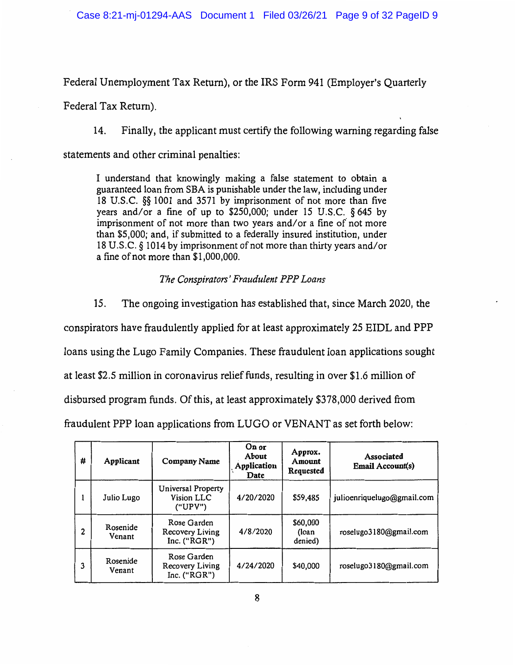Federal Unemployment Tax Return), or the IRS Form 941 (Employer's Quarterly

Federal Tax Return).

14. Finally, the applicant must certify the following warning regarding false

statements and other criminal penalties:

I understand that knowingly making a false statement to obtain a guaranteed loan from SBA is punishable under the law, including under 18 U.S.C. §§ 1001 and 3571 by imprisonment of not more than five years and/or a fine of up to \$250,000; under 15 U.S.C. § 645 by imprisonment of not more than two years and/or a fine of not more than \$5,000; and, if submitted to a federally insured institution, under 18 U.S.C. § 1014 by imprisonment of not more than thirty years and/or a fine of not more than \$1,000,000.

### *The Conspirators' Fraudulent PPP Loans*

15. The ongoing investigation has established that, since March 2020, the conspirators have fraudulently applied for at least approximately 25 EIDL and PPP loans using the Lugo Family Companies. These fraudulent loan applications sought at least \$2.5 million in coronavirus relief funds, resulting in over \$1.6 million of disbursed program funds. Of this, at least approximately \$378,000 derived from fraudulent PPP loan applications from LUGO or VENANT as set forth below:

| # | Applicant          | <b>Company Name</b>                              | On or<br>About<br>Application<br>Date | Approx.<br>Amount<br>Requested | Associated<br>Email Account(s) |
|---|--------------------|--------------------------------------------------|---------------------------------------|--------------------------------|--------------------------------|
| 1 | Julio Lugo         | Universal Property<br>Vision LLC<br>("UPV")      | 4/20/2020                             | \$59,485                       | julioenriquelugo@gmail.com     |
| 2 | Rosenide<br>Venant | Rose Garden<br>Recovery Living<br>Inc. $("RGR")$ | 4/8/2020                              | \$60,000<br>(loan<br>denied)   | roselugo3180@gmail.com         |
| 3 | Rosenide<br>Venant | Rose Garden<br>Recovery Living<br>Inc. $("RGR")$ | 4/24/2020                             | \$40,000                       | roselugo3180@gmail.com         |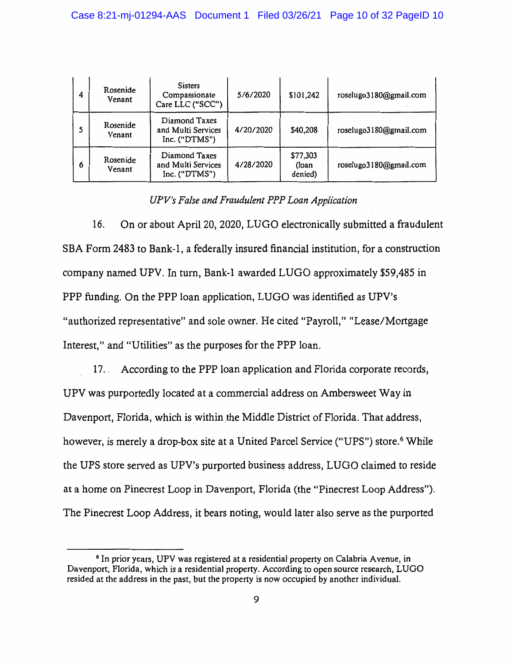| 4 | Rosenide<br>Venant | Sisters<br>Compassionate<br>Care LLC ("SCC")           | 5/6/2020  | \$101,242                    | roselugo3180@gmail.com |
|---|--------------------|--------------------------------------------------------|-----------|------------------------------|------------------------|
|   | Rosenide<br>Venant | Diamond Taxes<br>and Multi Services<br>Inc. $("DTMS")$ | 4/20/2020 | \$40,208                     | roselugo3180@gmail.com |
| 6 | Rosenide<br>Venant | Diamond Taxes<br>and Multi Services<br>Inc. $("DTMS")$ | 4/28/2020 | \$77,303<br>(loan<br>denied) | roselugo3180@gmail.com |

*UPV's False and Fraudulent PPP Loan Application* 

16. On or about April 20, 2020, LUGO electronically submitted a fraudulent SBA Form 2483 to Bank-I, a federally insured financial institution, for a construction company named UPV. In turn, Bank-I awarded LUGO approximately \$59,485 in PPP funding. On the PPP loan application, LUGO was identified as UPV's "authorized representative" and sole owner. He cited "Payroll," "Lease/Mortgage Interest," and "Utilities" as the purposes for the PPP loan.

17. . According to the PPP loan application and Florida corporate records, UPV was purportedly located at a commercial address on Ambersweet Way in Davenport, Florida, which is within the Middle District of Florida. That address, however, is merely a drop-box site at a United Parcel Service ("UPS") store.<sup>6</sup> While the UPS store served as UPV's purported business address, LUGO claimed to reside at a home on Pinecrest Loop in Davenport, Florida (the "Pinecrest Loop Address"). The Pinecrest Loop Address, it bears noting, would later also serve as the purported

<sup>&</sup>lt;sup>6</sup> In prior years, UPV was registered at a residential property on Calabria Avenue, in Davenport, Florida, which is a residential property. According to open source research, LUGO resided at the address in the past, but the property is now occupied by another individual.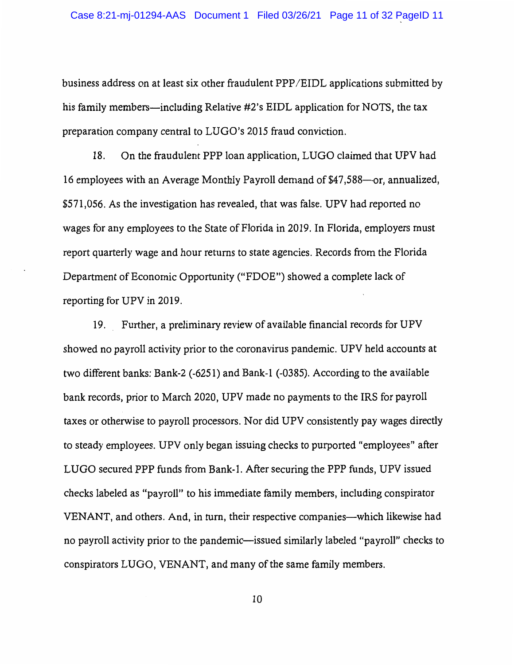business address on at least six other fraudulent PPP /EIDL applications submitted by his family members—including Relative #2's EIDL application for NOTS, the tax preparation company central to LUGO's 2015 fraud conviction.

18. On the fraudulent PPP loan application, LUGO claimed that UPV had 16 employees with an Average Monthly Payroll demand of \$47,588—or, annualized, \$571,056. As the investigation has revealed, that was false. UPV had reported no wages for any employees to the State of Florida in 2019. In Florida, employers must report quarterly wage and hour returns to state agencies. Records from the Florida Department of Economic Opportunity ("FDOE") showed a complete lack of reporting for UPV in 2019.

19. Further, a preliminary review of available financial records for UPV showed no payroll activity prior to the coronavirus pandemic. UPV held accounts at two different banks: Bank-2 (-6251) and Bank-I (-0385). According to the available bank records, prior to March 2020, UPV made no payments to the IRS for payroll taxes or otherwise to payroll processors. Nor did UPV consistently pay wages directly to steady employees. UPV only began issuing checks to purported "employees" after LUGO secured PPP funds from Bank-I. After securing the PPP funds, UPV issued checks labeled as "payroll" to his immediate family members, including conspirator VENANT, and others. And, in turn, their respective companies-which likewise had no payroll activity prior to the pandemic—issued similarly labeled "payroll" checks to conspirators LUGO, VENANT, and many of the same family members.

10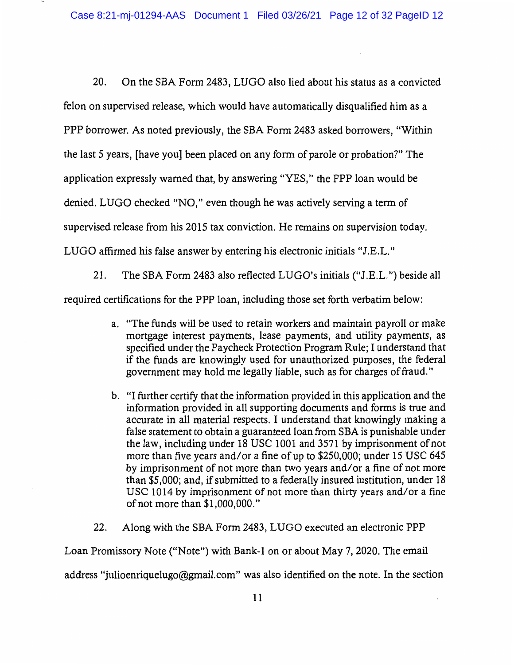20. On the SBA Form 2483, LUGO also lied about his status as a convicted felon on supervised release, which would have automatically disqualified him as a PPP borrower. As noted previously, the SBA Form 2483 asked borrowers, "Within the last 5 years, [have you] been placed on any form of parole or probation?" The application expressly warned that, by answering "YES," the PPP loan would be denied. LUGO checked "NO," even though he was actively serving a term of supervised release from his 2015 tax conviction. He remains on supervision today. LUGO affirmed his false answer by entering his electronic initials "J.E.L."

21. The SBA Form 2483 also reflected LUGO's initials ("J.E.L.") beside all required certifications for the PPP loan, including those set forth verbatim below:

- a. "The funds will be used to retain workers and maintain payroll or make mortgage interest payments, lease payments, and utility payments, as specified under the Paycheck Protection Program Rule; I understand that if the funds are knowingly used for unauthorized purposes, the federal government may hold me legally liable, such as for charges of fraud."
- b. "I further certify that the information provided in this application and the information provided in all supporting documents and forms is true and accurate in all material respects. I understand that knowingly making a false statement to obtain a guaranteed loan from SBA is punishable under the law, including under 18 USC 1001 and 3571 by imprisonment of not more than five years and/or a fine of up to \$250,000; under 15 USC 645 by imprisonment of not more than two years and/ or a fine of not more than \$5,000; and, if submitted to a federally insured institution, under 18 USC 1014 by imprisonment of not more than thirty years and/ or a fine of not more than \$1,000,000."
- 22. Along with the SBA Form 2483, LUGO executed an electronic PPP

Loan Promissory Note ("Note") with Bank-I on or about May 7, 2020. The email

address "julioenriquelugo@gmail.com" was also identified on the note. In the section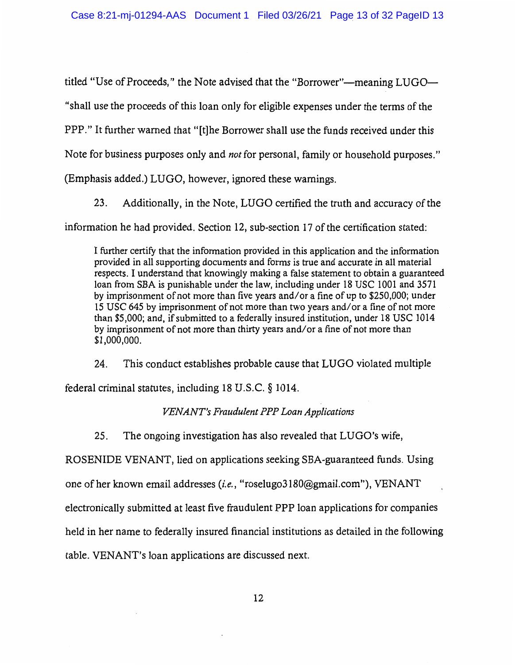titled "Use of Proceeds," the Note advised that the "Borrower"—meaning LUGO— "shall use the proceeds of this loan only for eligible expenses under the terms of the PPP." It further warned that "[t]he Borrower shall use the funds received under this Note for business purposes only and *not* for personal, family or household purposes."

(Emphasis added.) LUGO, however, ignored these warnings.

23. Additionally, in the Note, LUGO certified the truth and accuracy of the information he had provided. Section 12, sub-section 17 of the certification stated:

I further certify that the information provided in this application and the information provided in all supporting documents and forms is true and accurate in all material respects. I understand that knowingly making a false statement to obtain a guaranteed loan from SBA is punishable under the law, including under 18 USC 1001 and 3571 by imprisonment of not more than five years and/or a fine of up to \$250,000; under 15 USC 645 by imprisonment of not more than two years and/or a fine of not more than \$5,000; and, if submitted to a federally insured institution, under 18 USC 1014 by imprisonment of not more than thirty years and/ or a fine of not more than \$1,000,000.

24. This conduct establishes probable cause that LUGO violated multiple federal criminal statutes, including 18 U.S.C. § 1014.

# *VENANT's Fraudulent PPP Loan Applications*

25. The ongoing investigation has also revealed that  $LUGO's$  wife,

ROSENIDE VENANT, lied on applications seeking SBA-guaranteed funds. Using

one of her known email addresses (*i.e.*, "roselugo3180@gmail.com"), VENANT

electronically submitted at least five fraudulent PPP loan applications for companies

held in her name to federally insured financial institutions as detailed in the following

table. VENANT's loan applications are discussed next.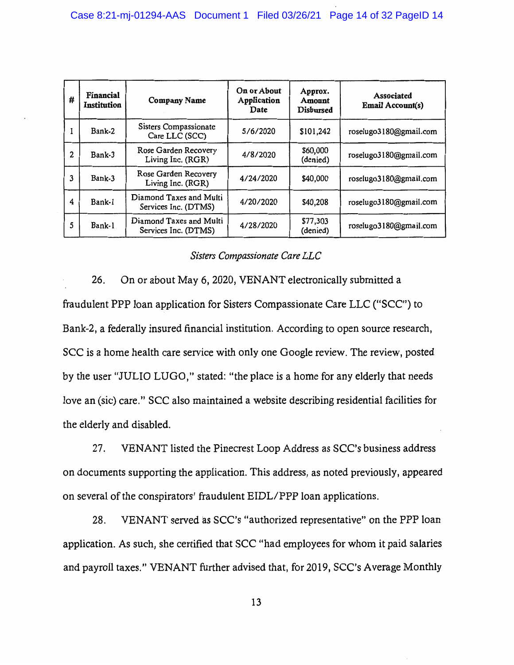| #            | Financial<br><b>Institution</b> | <b>Company Name</b>                             | On or About<br>Application<br>Date | Approx.<br>Amount<br><b>Disbursed</b> | <b>Associated</b><br><b>Email Account(s)</b> |
|--------------|---------------------------------|-------------------------------------------------|------------------------------------|---------------------------------------|----------------------------------------------|
| $\mathbf{I}$ | Bank-2                          | Sisters Compassionate<br>Care LLC (SCC)         | 5/6/2020                           | \$101,242                             | roselugo3180@gmail.com                       |
| 2            | Bank-3                          | Rose Garden Recovery<br>Living Inc. (RGR)       | 4/8/2020                           | \$60,000<br>(denied)                  | roselugo3180@gmail.com                       |
| 3            | Bank-3                          | Rose Garden Recovery<br>Living Inc. (RGR)       | 4/24/2020                          | \$40,000                              | roselugo3180@gmail.com                       |
| 4            | Bank-1                          | Diamond Taxes and Multi<br>Services Inc. (DTMS) | 4/20/2020                          | \$40,208                              | roselugo3180@gmail.com                       |
| 5            | Bank-1                          | Diamond Taxes and Multi<br>Services Inc. (DTMS) | 4/28/2020                          | \$77,303<br>(denied)                  | roselugo3180@gmail.com                       |

## *Sisters Compassionate Care LLC*

26. On or about May 6, 2020, VENANT electronically submitted a fraudulent PPP loan application for Sisters Compassionate Care LLC ("SCC") to Bank-2, a federally insured financial institution. According to open source research, SCC is a home health care service with only one Google review. The review, posted by the user "JULIO LUGO," stated: "the place is a home for any elderly that needs love an (sic) care." SCC also maintained a website describing residential facilities for the elderly and disabled.

27. VENANT listed the Pinecrest Loop Address as SCC's business address on documents supporting the application. This address, as noted previously, appeared on several of the conspirators' fraudulent EIDL/PPP loan applications.

28. VENANT served as SCC's "authorized representative" on the PPP loan application. As such, she certified that SCC "had employees for whom it paid salaries and payroll taxes." VENANT further advised that, for 2019, SCC's Average Monthly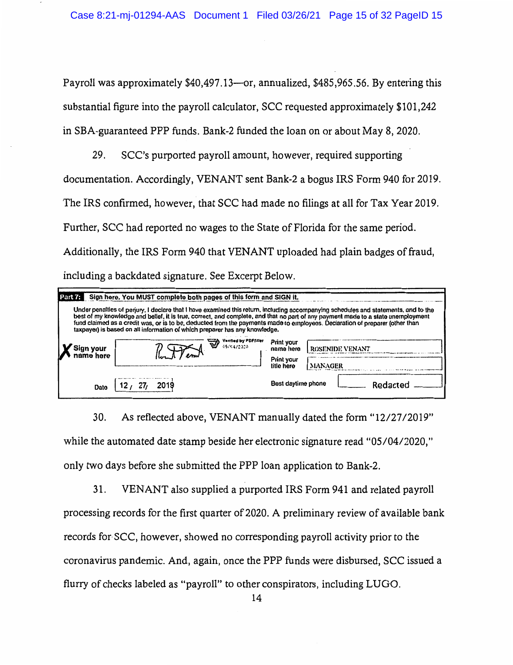Payroll was approximately \$40,497.13-or, annualized, \$485,965.56. By entering this substantial figure into the payroll calculator, SCC requested approximately \$101,242 in SBA-guaranteed PPP funds. Bank-2 funded the loan on or about May 8, 2020.

29. SCC's purported payroll amount, however, required supporting documentation. Accordingly, VENANT sent Bank-2 a bogus IRS Form 940 for 2019. The IRS confirmed, however, that SCC had made no filings at all for Tax Year 2019. Further, SCC had reported no wages to the State of Florida for the same period. Additionally, the IRS Form 940 that VENANT uploaded had plain badges of fraud, including a backdated signature. See Excerpt Below.

| Sign here. You MUST complete both pages of this form and SIGN it.<br>Part 7:                                                                                                                                                                                                                                                                                                                                                                                                         |                                     |                                                     |                                   |  |  |  |
|--------------------------------------------------------------------------------------------------------------------------------------------------------------------------------------------------------------------------------------------------------------------------------------------------------------------------------------------------------------------------------------------------------------------------------------------------------------------------------------|-------------------------------------|-----------------------------------------------------|-----------------------------------|--|--|--|
| Under penalties of penury, I declare that I have examined this return, including accompanying schedules and statements, and to the<br>best of my knowledge and belief, it is true, correct, and complete, and that no part of any payment made to a state unemployment<br>fund claimed as a credit was, or is to be, deducted from the payments made to employees. Declaration of preparer fother than<br>taxpayer) is based on all information of which preparer has any knowledge. |                                     |                                                     |                                   |  |  |  |
| Sign your<br>name here                                                                                                                                                                                                                                                                                                                                                                                                                                                               | Verified by PDFfitler<br>05/04/2020 | Print your<br>name here<br>Print your<br>title here | <b>ROSENIDE VENANT</b><br>MANAGER |  |  |  |
| Dato                                                                                                                                                                                                                                                                                                                                                                                                                                                                                 |                                     | Best daytime phone                                  | Redacted                          |  |  |  |

30. As reflected above, VENANT manually dated the form "12/27/2019" while the automated date stamp beside her electronic signature read "05/04/2020," only two days before she submitted the PPP loan application to Bank-2.

31. VENANT also supplied a purported IRS Form 941 and related payroll processing records for the first quarter of 2020. A preliminary review of available bank records for-SCC, however, showed no corresponding payroll activity prior to the coronavirus pandemic. And, again, once the PPP funds were disbursed, SCC issued a flurry of checks labeled as "payroll" to other conspirators, including LUGO.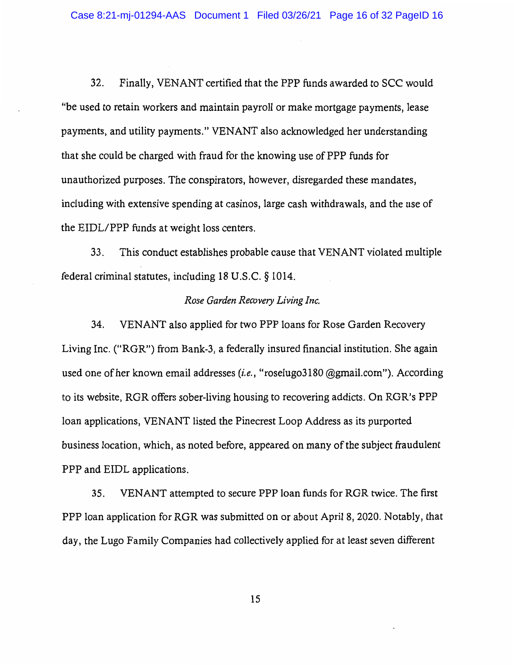32. Finally, VENANT certified that the PPP funds awarded to SCC would "be used to retain workers and maintain payroll or make mortgage payments, lease payments, and utility payments." VENANT also acknowledged her understanding that she could be charged with fraud for the knowing use of PPP funds for unauthorized purposes. The conspirators, however, disregarded these mandates, including with extensive spending at casinos, large cash withdrawals, and the use of the EIDL/PPP funds at weight loss centers.

33. This conduct establishes probable cause that VENANT violated multiple federal criminal statutes, including 18 U.S.C. § 1014.

#### *Rose Garden Recovery Living Inc.*

34. VENANT also applied for two PPP loans for Rose Garden Recovery Living Inc. ("RGR") from Bank-3, a federally insured financial institution. She again used one of her known email addresses (i.e., "roselugo3180 @gmail.com"). According to its website, RGR offers sober-living housing to recovering addicts. On RGR's PPP loan applications, VENANT listed the Pinecrest Loop Address as its purported business location, which, as noted before, appeared on many of the subject fraudulent PPP and EIDL applications.

35. VENANT attempted to secure PPP loan funds for RGR twice. The first PPP loan application for RGR was submitted on or about April 8, 2020. Notably, that day, the Lugo Family Companies had collectively applied for at least seven different

15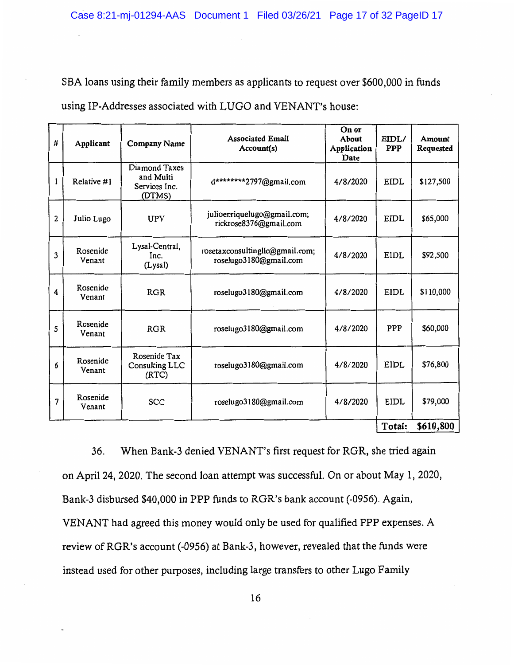SBA loans using their family members as applicants to request over \$600,000 in funds

using IP-Addresses associated with LUGO and VENANT's house:

| #              | Applicant          | <b>Company Name</b>                                   | <b>Associated Email</b><br>Account(s)                     | On or<br>About<br>Application<br>Date | EIDL/<br><b>PPP</b> | Amount<br>Requested |
|----------------|--------------------|-------------------------------------------------------|-----------------------------------------------------------|---------------------------------------|---------------------|---------------------|
| 1              | Relative #1        | Diamond Taxes<br>and Multi<br>Services Inc.<br>(DTMS) | d********2797@gmail.com                                   | 4/8/2020                              | EIDL                | \$127,500           |
| $\overline{2}$ | Julio Lugo         | <b>UPV</b>                                            | julioenriquelugo@gmail.com;<br>rickrose8376@gmail.com     | 4/8/2020                              | <b>EIDL</b>         | \$65,000            |
| 3              | Rosenide<br>Venant | Lysal-Central,<br>Inc.<br>(Lysal)                     | rosetaxconsultinglic@gmail.com;<br>roselugo3180@gmail.com | 4/8/2020                              | EIDL                | \$92,500            |
| 4              | Rosenide<br>Venant | <b>RGR</b>                                            | roselugo3180@gmail.com                                    | 4/8/2020                              | <b>EIDL</b>         | \$110,000           |
| 5              | Rosenide<br>Venant | <b>RGR</b>                                            | roselugo3180@gmail.com                                    | 4/8/2020                              | PPP                 | \$60,000            |
| 6              | Rosenide<br>Venant | Rosenide Tax<br>Consulting LLC<br>(RTC)               | roselugo3180@gmail.com                                    | 4/8/2020                              | EIDL                | \$76,800            |
| 7              | Rosenide<br>Venant | SCC                                                   | roselugo3180@gmail.com                                    | 4/8/2020                              | EIDL                | \$79,000            |
|                |                    |                                                       |                                                           |                                       | Total:              | \$610,800           |

36. When Bank-3 denied VENANT's first request for RGR, she tried again on April 24, 2020. The second loan attempt was successful. On or about May 1, 2020, Bank-3 disbursed \$40,000 in PPP funds to RGR's bank account (-0956). Again, VENANT had agreed this money would only be used for qualified PPP expenses. A review of RGR's account (-0956) at Bank-3, however, revealed that the funds were instead used for other purposes, including large transfers to other Lugo Family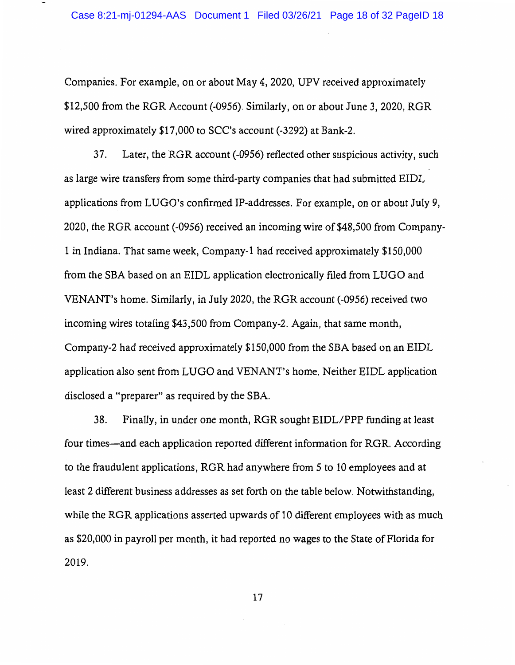Companies. For example, on or about May 4, 2020, UPV received approximately \$12,500 from the RGR Account (-0956). Similarly, on or about June 3, 2020, RGR wired approximately \$17,000 to SCC's account (-3292) at Bank-2.

37. Later, the RGR account (-0956) reflected other suspicious activity, such as large wire transfers from some third-party companies that had submitted EIDL applications from LUGO's confirmed IP-addresses. For example, on or about July 9, 2020, the RGR account (-0956) received an incoming wire of \$48,500 from Company- ! in Indiana. That same week, Company-I had received approximately \$150,000 from the SBA based on an EIDL application electronically filed from LU GO and VENANT's home. Similarly, in July 2020, the RGR account (-0956) received two incoming wires totaling \$43,500 from Company-2. Again, that same month, Company-2 had received approximately \$150,000 from the SBA based on an EIDL application also sent from LUGO and VENANT's home. Neither EIDL application disclosed a "preparer" as required by the SBA.

38. Finally, in under one month, RGR sought EIDL/PPP funding at least four times-and each application reported different information for RGR. According to the fraudulent applications, RGR had anywhere from 5 to IO employees and at least 2 different business addresses as set forth on the table below. Notwithstanding, while the RGR applications asserted upwards of 10 different employees with as much as \$20,000 in payroll per month, it had reported no wages to the State of Florida for 2019.

17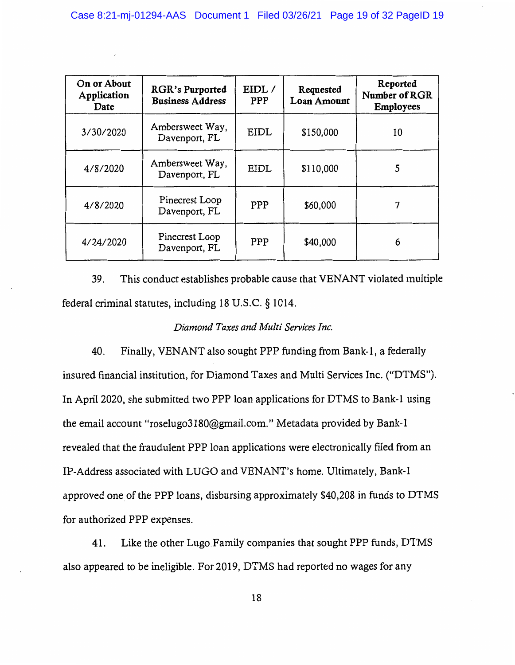| On or About<br>Application<br>Date | <b>RGR's Purported</b><br><b>Business Address</b> | EIDL /<br><b>PPP</b> | Requested<br><b>Loan Amount</b> | Reported<br>Number of RGR<br><b>Employees</b> |
|------------------------------------|---------------------------------------------------|----------------------|---------------------------------|-----------------------------------------------|
| 3/30/2020                          | Ambersweet Way,<br>Davenport, FL                  | EIDL                 | \$150,000                       | 10                                            |
| 4/8/2020                           | Ambersweet Way,<br>Davenport, FL                  | <b>EIDL</b>          | \$110,000                       | 5                                             |
| 4/8/2020                           | Pinecrest Loop<br>Davenport, FL                   | PPP                  | \$60,000                        |                                               |
| 4/24/2020                          | Pinecrest Loop<br>Davenport, FL                   | PPP                  | \$40,000                        | 6                                             |

39. This conduct establishes probable cause that VEN ANT violated multiple federal criminal statutes, including 18 U.S.C. § 1014.

### *Diamond Taxes and Multi Services Inc.*

40. Finally, VENANT also sought PPP funding from Bank-I, a federally insured financial institution, for Diamond Taxes and Multi Services Inc. ("DTMS"). In April 2020, she submitted two PPP loan applications for DTMS to Bank-I using the email account "roselugo3180@gmail.com." Metadata provided by Bank-I revealed that the fraudulent PPP loan applications were electronically filed from an IP-Address associated with LUGO and VENANT's home. Ultimately, Bank-I approved one of the PPP loans, disbursing approximately \$40,208 in funds to DTMS for authorized PPP expenses.

41. Like the other Lugo. Family companies that sought PPP funds, DTMS also appeared to be ineligible. For 2019, DTMS had reported no wages for any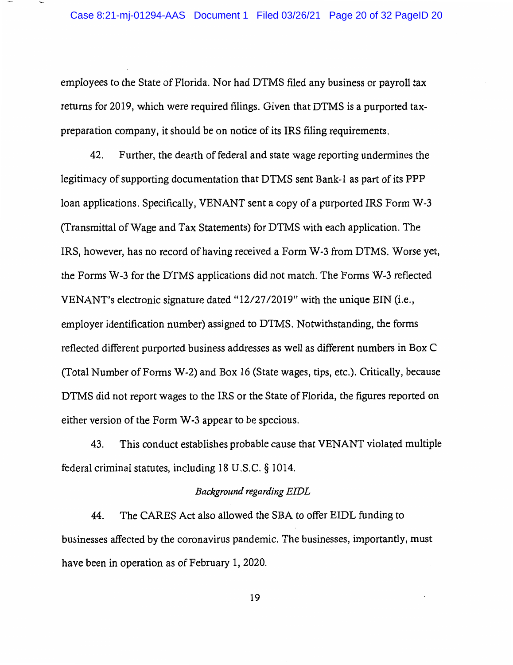employees to the State of Florida. Nor had DTMS filed any business or payroll tax returns for 2019, which were required filings. Given that DTMS is a purported taxpreparation company, it should be on notice of its IRS filing requirements.

42. Further, the dearth of federal and state wage reporting undermines the legitimacy of supporting documentation that DTMS sent Bank-I as part of its PPP loan applications. Specifically, VENANT sent a copy of a purported IRS Form W-3 (Transmittal of Wage and Tax Statements) for DTMS with each application. The IRS, however, has no record of having received a Form W-3 from DTMS. Worse yet, the Forms W-3 for the DTMS applications did not match. The Forms W-3 reflected VENANT's electronic signature dated "12/27/2019" with the unique EIN (i.e., employer identification number) assigned to DTMS. Notwithstanding, the forms reflected different purported business addresses as well as different numbers in Box C (Total Number of Forms W-2) and Box 16 (State wages, tips, etc.). Critically, because DTMS did not report wages to the IRS or the State of Florida, the figures reported on either version of the Form W-3 appear to be specious.

43. This conduct establishes probable cause that VENANT violated multiple federal criminal statutes, including 18 U.S.C. § 1014.

#### *Background regarding EIDL*

44. The CARES Act also allowed the SBA to offer EIDL funding to businesses affected by the coronavirus pandemic. The businesses, importantly, must have been in operation as of February 1, 2020.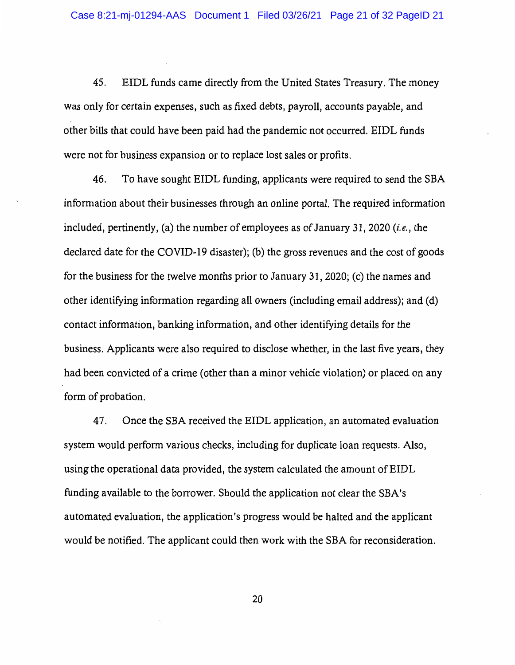45. EIDL funds came directly from the United States Treasury. The money was only for certain expenses, such as fixed debts, payroll, accounts payable, and other bills that could have been paid had the pandemic not occurred. EIDL funds were not for business expansion or to replace lost sales or profits.

46. To have sought EIDL funding, applicants were required to send the SBA information about their businesses through an online portal. The required information included, pertinently, (a) the number of employees as of January 31, 2020 (*i.e.*, the declared date for the COVID-19 disaster); (b) the gross revenues and the cost of goods for the business for the twelve months prior to January 31, 2020; (c) the names and other identifying information regarding all owners (including email address); and (d) contact information, banking information, and other identifying details for the business. Applicants were also required to disclose whether, in the last five years, they had been convicted of a crime ( other than a minor vehicle violation) or placed on any form of probation.

47. Once the SBA received the EIDL application, an automated evaluation system would perform various checks, including for duplicate loan requests. Also, using the operational data provided, the system calculated the amount of EIDL funding available to the borrower. Should the application not clear the SBA's automated evaluation, the application's progress would be halted and the applicant would be notified. The applicant could then work with the SBA for reconsideration.

20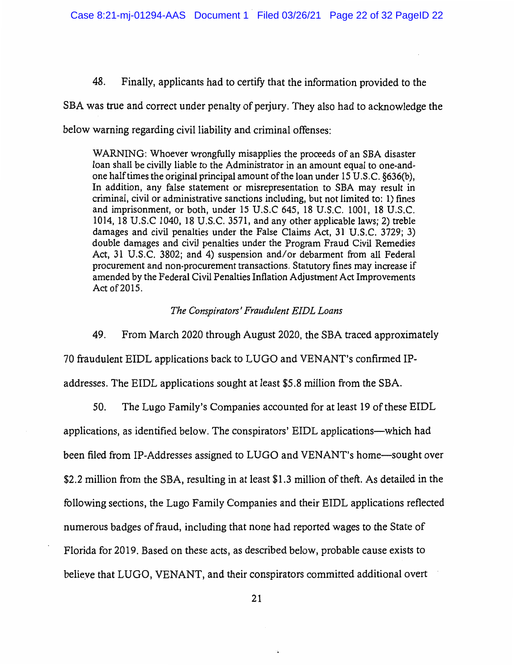48. Finally, applicants had to certify that the information provided to the

SBA was true and correct under penalty of perjury. They also had to acknowledge the below warning regarding civil liability and criminal offenses:

WARNING: Whoever wrongfully misapplies the proceeds of an SBA disaster loan shall be civilly liable to the Administrator in an amount equal to one-andone halftimes the original principal amount of the loan under 15 U.S.C. §636(b), In addition, any false statement or misrepresentation to SBA may result in criminal, civil or administrative sanctions including, but not limited to: 1) fines and imprisonment, or both, under 15 U.S.C 645, 18 U.S.C. 1001, 18 U.S.C. 1014, 18 U.S.C 1040, 18 U.S.C. 3571, and any other applicable laws; 2) treble damages and civil penalties under the False Claims Act, 31 U.S.C. 3729; 3) double damages and civil penalties under the Program Fraud Civil Remedies Act, 31 U.S.C. 3802; and 4) suspension and/or debarment from all Federal procurement and non-procurement transactions. Statutory fines may increase if amended by the Federal Civil Penalties Inflation Adjustment Act Improvements Act of 2015.

#### *The Conspirators' Fraudulent EIDL Loans*

49. From March 2020 through August 2020, the SBA traced approximately

70 fraudulent EIDL applications back to LUGO and VENANT's confirmed IP-

addresses. The EIDL applications sought at least \$5.8 million from the SBA.

50. The Lugo Family's Companies accounted for at least 19 of these EIDL

applications, as identified below. The conspirators' EIDL applications—which had

been filed from IP-Addresses assigned to LUGO and VENANT's home-sought over

\$2.2 million from the SBA, resulting in at least \$1.3 million of theft. As detailed in the

following sections, the Lugo Family Companies and their EIDL applications reflected

numerous badges of fraud, including that none had reported wages to the State of

Florida for 2019. Based on these acts, as described below, probable cause exists to

believe that LUGO, VENANT, and their conspirators committed additional overt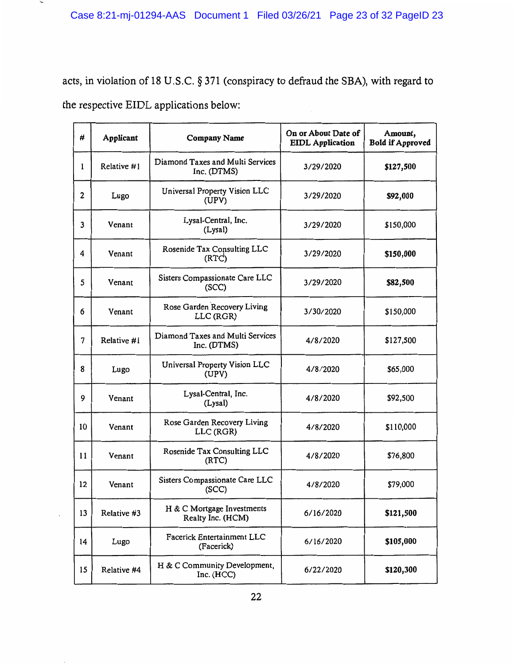$\overline{\phantom{a}}$ 

acts, in violation of 18 U.S.C. § 371 (conspiracy to defraud the SBA), with regard to the respective EIDL applications below:

| #              | Applicant   | <b>Company Name</b>                             | On or About Date of<br><b>EIDL</b> Application | Amount,<br><b>Bold if Approved</b> |
|----------------|-------------|-------------------------------------------------|------------------------------------------------|------------------------------------|
| 1              | Relative #1 | Diamond Taxes and Multi Services<br>Inc. (DTMS) | 3/29/2020                                      | \$127,500                          |
| 2              | Lugo        | Universal Property Vision LLC<br>(UPV)          | 3/29/2020                                      | \$92,000                           |
| 3              | Venant      | Lysal-Central, Inc.<br>(Lysal)                  | 3/29/2020                                      | \$150,000                          |
| 4              | Venant      | Rosenide Tax Consulting LLC<br>(RTC)            | 3/29/2020                                      | \$150,000                          |
| 5              | Venant      | Sisters Compassionate Care LLC<br>(SCC)         | 3/29/2020                                      | \$82,500                           |
| 6              | Venant      | Rose Garden Recovery Living<br>LLC (RGR)        | 3/30/2020                                      | \$150,000                          |
| $\overline{7}$ | Relative #1 | Diamond Taxes and Multi Services<br>Inc. (DTMS) | 4/8/2020                                       | \$127,500                          |
| 8              | Lugo        | Universal Property Vision LLC<br>(UPV)          | 4/8/2020                                       | \$65,000                           |
| 9              | Venant      | Lysal-Central, Inc.<br>(Lysal)                  | 4/8/2020                                       | \$92,500                           |
| 10             | Venant      | Rose Garden Recovery Living<br>LLC (RGR)        | 4/8/2020                                       | \$110,000                          |
| 11             | Venant      | Rosenide Tax Consulting LLC<br>(RTC)            | 4/8/2020                                       | \$76,800                           |
| 12             | Venant      | Sisters Compassionate Care LLC<br>(SCC)         | 4/8/2020                                       | \$79,000                           |
| 13             | Relative #3 | H & C Mortgage Investments<br>Realty Inc. (HCM) | 6/16/2020                                      | \$121,500                          |
| 14             | Lugo        | Facerick Entertainment LLC<br>(Facerick)        | 6/16/2020                                      | \$105,000                          |
| 15             | Relative #4 | H & C Community Development,<br>Inc. (HCC)      | 6/22/2020                                      | \$120,300                          |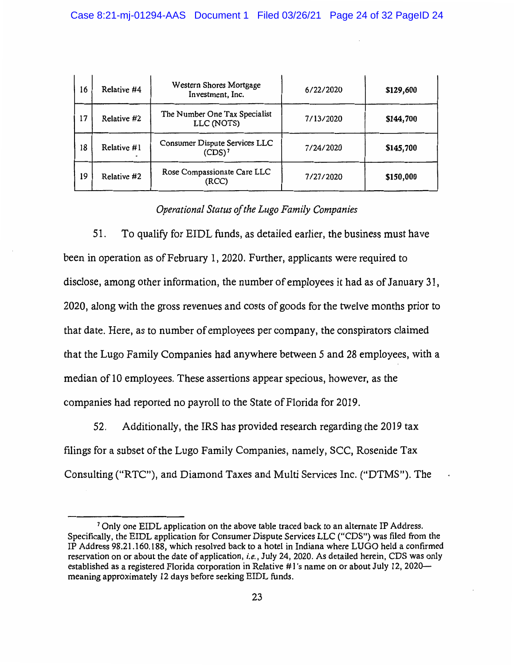| 16 | Relative #4 | Western Shores Mortgage<br>Investment, Inc. | 6/22/2020 | \$129,600 |
|----|-------------|---------------------------------------------|-----------|-----------|
| 17 | Relative #2 | The Number One Tax Specialist<br>LLC (NOTS) | 7/13/2020 | \$144,700 |
| 18 | Relative #1 | Consumer Dispute Services LLC<br>$(CDS)^7$  | 7/24/2020 | \$145,700 |
| 19 | Relative #2 | Rose Compassionate Care LLC<br>(RCC)        | 7/27/2020 | \$150,000 |

## *Operational Status of the Lugo Family Companies*

51. To qualify for EIDL funds, as detailed earlier, the business must have been in operation as of February 1, 2020. Further, applicants were required to disclose, among other information, the number of employees it had as of January 31, 2020, along with the gross revenues and costs of goods for the twelve months prior to that date. Here, as to number of employees per company, the conspirators claimed that the Lugo Family Companies had anywhere between 5 and 28 employees, with a median of 10 employees. These assertions appear specious, however, as the companies had reported no payroll to the State of Florida for 2019.

52. Additionally, the IRS has provided research regarding the 2019 tax filings for a subset of the Lugo Family Companies, namely, SCC, Rosenide Tax Consulting ("RTC"), and Diamond Taxes and Multi Services Inc. ("DTMS"). The

<sup>7</sup> Only one EIDL application on the above table traced back to an alternate IP Address. Specifically, the EIDL application for Consumer Dispute Services LLC ("CDS") was filed from the IP Address 98.21.160.188, which resolved back to a hotel in Indiana where LUGO held a confirmed reservation on or about the date of application, *i.e.,* July 24, 2020. As detailed herein, CDS was only established as a registered Florida corporation in Relative #1 's name on or about July 12, 2020 meaning approximately 12 days before seeking EIDL funds.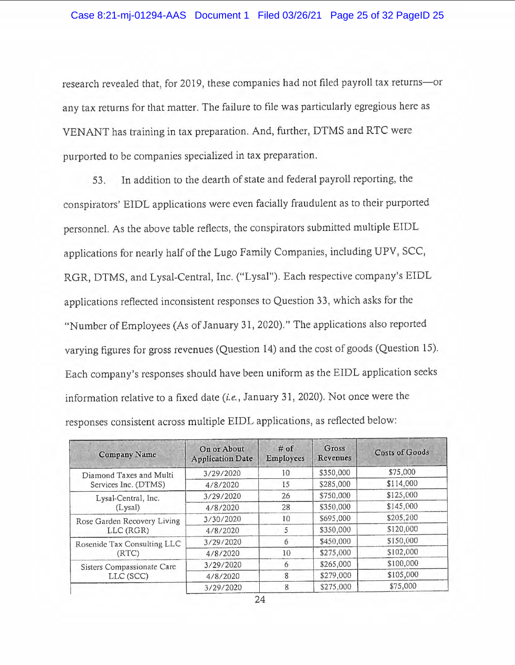research revealed that, for 2019, these companies had not filed payroll tax returns-or any tax returns for that matter. The failure to file was particularly egregious here as VEN ANT has training in tax preparation. And, further, DTMS and RTC were purported to be companies specialized in tax preparation.

53. In addition to the dearth of state and federal payroll reporting, the conspirators' EIDL applications were even facially fraudulent as to their purported personnel. As the above table reflects, the conspirators submitted multiple EIDL applications for nearly half of the Lugo Family Companies, including UPV, SCC, RGR, DTMS, and Lysal-Central, Inc. ("Lysal"). Each respective company's EIDL applications reflected inconsistent responses to Question 33 , which asks for the "Number of Employees (As of January 31, 2020)." The applications also reported varying figures for gross revenues (Question 14) and the cost of goods (Question 15). Each company's responses should have been uniform as the EIDL application seeks information relative to a fixed date (i.e., January 31, 2020). Not once were the responses consistent across multiple EIDL applications, as reflected below:

| <b>Company Name</b>         | On or About<br><b>Application Date</b> | $#$ of<br><b>Employees</b> | Gross<br>Revenues | <b>Costs of Goods</b> |
|-----------------------------|----------------------------------------|----------------------------|-------------------|-----------------------|
| Diamond Taxes and Multi     | 3/29/2020                              | 10                         | \$350,000         | \$75,000              |
| Services Inc. (DTMS)        | 4/8/2020                               | 15                         | \$285,000         | \$114,000             |
| Lysal-Central, Inc.         | 3/29/2020                              | 26                         | \$750,000         | \$125,000             |
| (Lysal)                     | 4/8/2020                               | 28                         | \$350,000         | \$145,000             |
| Rose Garden Recovery Living | 3/30/2020                              | 10                         | \$695,000         | \$205,200             |
| LLC (RGR)                   | 4/8/2020                               | 5                          | \$350,000         | \$120,000             |
| Rosenide Tax Consulting LLC | 3/29/2020                              | 6                          | \$450,000         | \$150,000             |
| (RTC)                       | 4/8/2020                               | 10                         | \$275,000         | \$102,000             |
| Sisters Compassionate Care  | 3/29/2020                              | 6                          | \$265,000         | \$100,000             |
| LLC (SCC)                   | 4/8/2020                               | 8                          | \$279,000         | \$105,000             |
|                             | 3/29/2020                              | 8                          | \$275,000         | \$75,000              |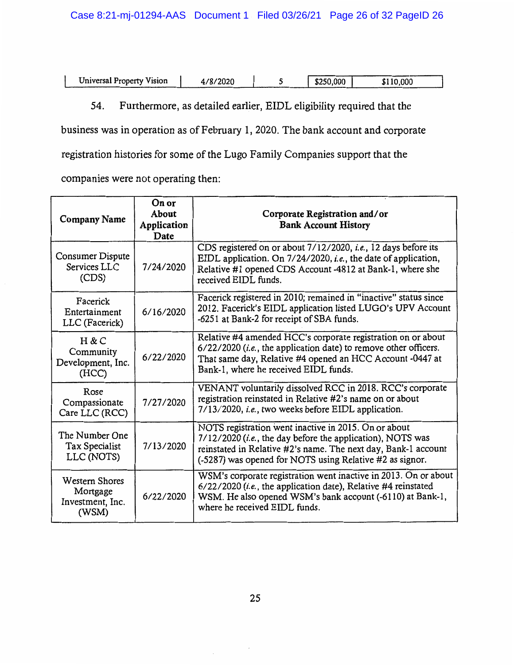Universal Property Vision 4/8/2020 5 \$250,000 \$110,000

54. Furthermore, as detailed earlier, EIDL eligibility required that the

business was in operation as of February 1, 2020. The bank account and corporate

registration histories for some of the Lugo Family Companies support that the

companies were not operating then:

| <b>Company Name</b>                                            | On or<br>About<br>Application<br>Date | Corporate Registration and/or<br><b>Bank Account History</b>                                                                                                                                                                                      |
|----------------------------------------------------------------|---------------------------------------|---------------------------------------------------------------------------------------------------------------------------------------------------------------------------------------------------------------------------------------------------|
| Consumer Dispute<br>Services LLC<br>(CDS)                      | 7/24/2020                             | CDS registered on or about 7/12/2020, i.e., 12 days before its<br>EIDL application. On 7/24/2020, <i>i.e.</i> , the date of application,<br>Relative #1 opened CDS Account -4812 at Bank-1, where she<br>received EIDL funds.                     |
| Facerick<br>Entertainment<br>LLC (Facerick)                    | 6/16/2020                             | Facerick registered in 2010; remained in "inactive" status since<br>2012. Facerick's EIDL application listed LUGO's UPV Account<br>-6251 at Bank-2 for receipt of SBA funds.                                                                      |
| H & C<br>Community<br>Development, Inc.<br>(HCC)               | 6/22/2020                             | Relative #4 amended HCC's corporate registration on or about<br>$6/22/2020$ ( <i>i.e.</i> , the application date) to remove other officers.<br>That same day, Relative #4 opened an HCC Account -0447 at<br>Bank-1, where he received EIDL funds. |
| Rose<br>Compassionate<br>Care LLC (RCC)                        | 7/27/2020                             | VENANT voluntarily dissolved RCC in 2018. RCC's corporate<br>registration reinstated in Relative #2's name on or about<br>7/13/2020, i.e., two weeks before EIDL application.                                                                     |
| The Number One<br>Tax Specialist<br>LLC (NOTS)                 | 7/13/2020                             | NOTS registration went inactive in 2015. On or about<br>7/12/2020 (i.e., the day before the application), NOTS was<br>reinstated in Relative #2's name. The next day, Bank-1 account<br>(-5287) was opened for NOTS using Relative #2 as signor.  |
| <b>Western Shores</b><br>Mortgage<br>Investment, Inc.<br>(WSM) | 6/22/2020                             | WSM's corporate registration went inactive in 2013. On or about<br>$6/22/2020$ (i.e., the application date), Relative #4 reinstated<br>WSM. He also opened WSM's bank account (-6110) at Bank-1,<br>where he received EIDL funds.                 |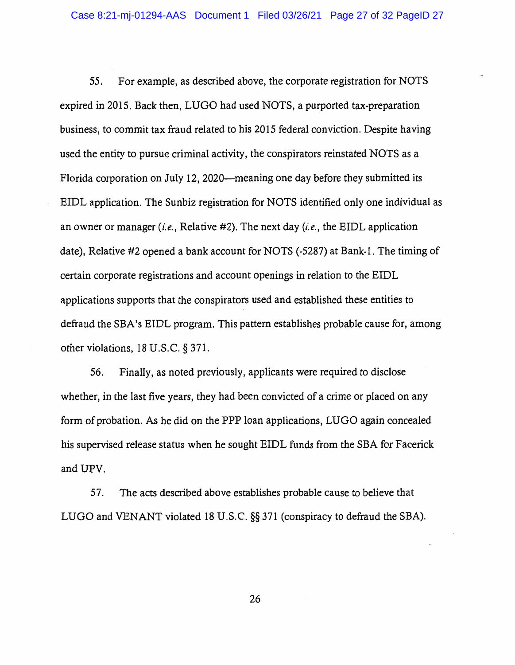55. For example, as described above, the corporate registration for NOTS expired in 2015. Back then, LUGO had used NOTS, a purported tax-preparation business, to commit tax fraud related to his 2015 federal conviction. Despite having used the entity to pursue criminal activity, the conspirators reinstated NOTS as a Florida corporation on July 12, 2020—meaning one day before they submitted its EIDL application. The Sunbiz registration for NOTS identified only one individual as an owner or manager *(i.e.,* Relative #2). The next day *(i.e.,* the EIDL application date), Relative #2 opened a bank account for NOTS (-5287) at Bank-I. The timing of certain corporate registrations and account openings in relation to the EIDL applications supports that the conspirators used and established these entities to defraud the SBA's EIDL program. This pattern establishes probable cause for, among other violations, 18 U.S.C. § 371.

56. Finally, as noted previously, applicants were required to disclose whether, in the last five years, they had been convicted of a crime or placed on any form of probation. As he did on the PPP loan applications, LUGO again concealed his supervised release status when he sought EIDL funds from the SBA for Facerick and UPV.

57. The acts described above establishes probable cause to believe that LUGO and VENANT violated 18 U.S.C. §§ 371 (conspiracy to defraud the SBA).

26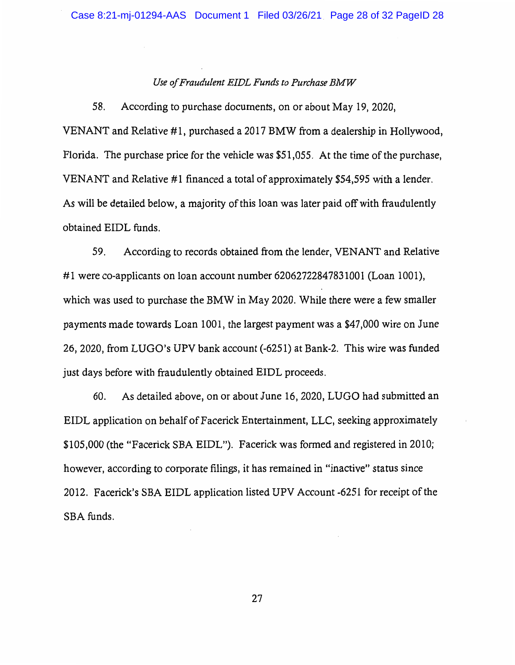### *Use of Fraudulent EIDL Funds to Purchase BMW*

58. According to purchase documents, on or about May 19, 2020,

VENANT and Relative #1, purchased a 2017 BMW from a dealership in Hollywood, Florida. The purchase price for the vehicle was \$51,055. At the time of the purchase, VENANT and Relative #1 financed a total of approximately \$54,595 with a lender. As will be detailed below, a majority of this loan was later paid off with fraudulently obtained EIDL funds.

59. According to records obtained from the lender, VENANT and Relative #1 were co-applicants on loan account number 62062722847831001 (Loan 1001), which was used to purchase the BMW in May 2020. While there were a few smaller payments made towards Loan 1001, the largest payment was a \$47,000 wire on June 26, 2020, from LUGO's UPV bank account (-6251) at Bank-2. This wire was funded just days before with fraudulently obtained EIDL proceeds.

60. As detailed above, on or about June 16, 2020, LUGO had submitted an EIDL application on behalf of Facerick Entertainment, LLC, seeking approximately \$105,000 (the "Facerick SBA EIDL"). Facerick was formed and registered in 2010; however, according to corporate filings, it has remained in "inactive" status since 2012. Facerick's SBA EIDL application listed UPV Account -6251 for receipt of the SBA funds.

27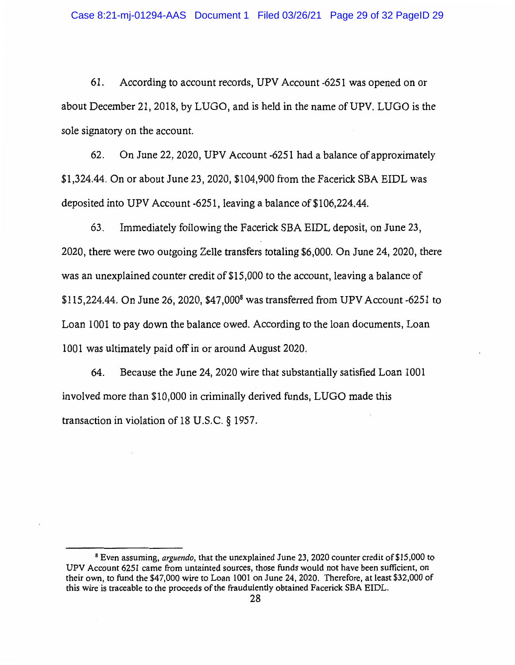61. According to account records, UPV Account -6251 was opened on or about December 21, 2018, by LUGO, and is held in the name of UPV. LUGO is the sole signatory on the account.

62. On June 22, 2020, UPV Account -6251 had a balance of approximately \$1,324.44. On or about June 23, 2020, \$104,900 from the Facerick SBA EIDL was deposited into UPV Account -6251, leaving a balance of \$106,224.44.

63. Immediately following the Facerick SBA EIDL deposit, on June 23, 2020, there were two outgoing Zelle transfers totaling \$6,000. On June 24, 2020, there was an unexplained counter credit of \$15,000 to the account, leaving a balance of \$115,224.44. On June 26, 2020, \$47,0008 was transferred from UPV Account-6251 to Loan 1001 to pay down the balance owed. According to the loan documents, Loan 1001 was ultimately paid off in or around August 2020.

64. Because the June 24, 2020 wire that substantially satisfied Loan 1001 involved more than \$10,000 in criminally derived funds, LUGO made this transaction in violation of 18 U.S.C. § 1957.

<sup>8</sup>Even assuming, *arguendo,* that the unexplained June 23, 2020 counter credit of\$15,000 to UPV Account 6251 came from untainted sources, those funds would not have been sufficient, on their own, to fund the \$47,000 wire to Loan 1001 on June 24, 2020. Therefore, at least \$32,000 of this wire is traceable to the proceeds of the fraudulently obtained Facerick SBA EIDL.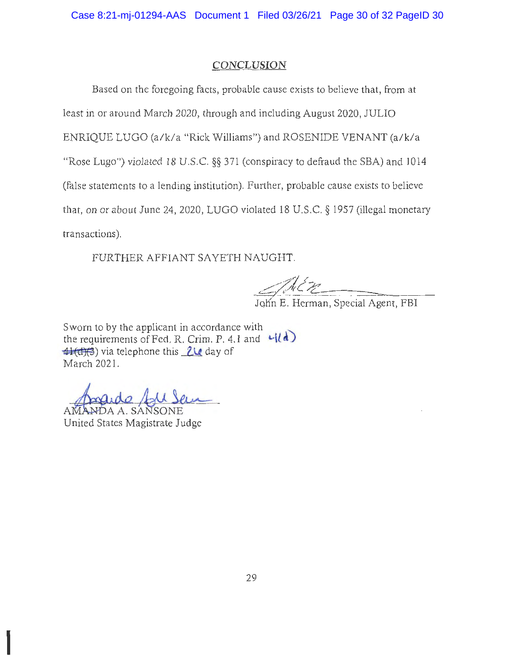Case 8:21-mj-01294-AAS Document 1 Filed 03/26/21 Page 30 of 32 PageID 30

## **CONCLUSION**

Based on the foregoing facts, probable cause exists to believe that, from at least in or around March 2020, through and including August 2020, JULIO ENRIQUE LUGO (a/k/a "Rick Williams") and ROSENIDE VENANT (a/k/a "Rose Lugo") violated 18 U.S.C.  $\S$ § 371 (conspiracy to defraud the SBA) and 1014 (false statements to a lending institution). Further, probable cause exists to believe that, on or about June 24, 2020, LUGO violated 18 U.S.C. § 1957 (illegal monetary transactions).

FURTHER AFFIANT SA YETH NAUGHT.

--,;>'/ *I'*   $\frac{1}{\sqrt{N}C}$ John E. Herman, Special Agent, FBI

Sworn to by the applicant in accordance with Sworn to by the applicant in accordance with<br>the requirements of Fed. R. Crim. P. 4.1 and  $\frac{L}{d}$ <br>**41(d)**<br>March 2021 March 2021.

Angude Agu Sem

 $\mathbb I$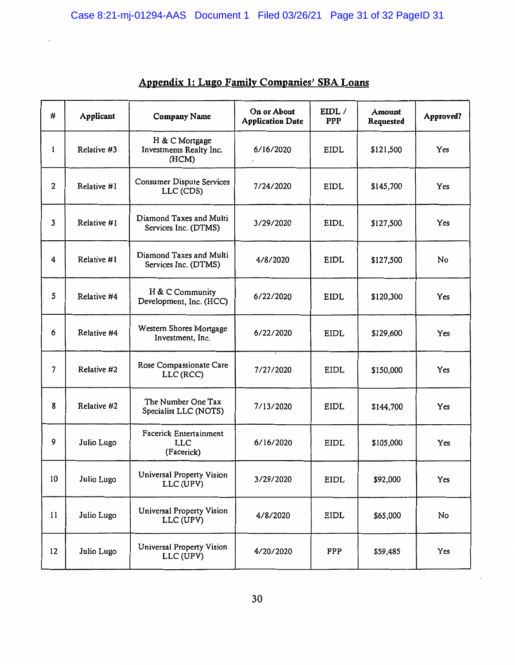| #            | Applicant   | <b>Company Name</b>                                       | On or About<br><b>Application Date</b> | EIDL /<br><b>PPP</b> | Amount<br>Requested | Approved? |
|--------------|-------------|-----------------------------------------------------------|----------------------------------------|----------------------|---------------------|-----------|
| 1            | Relative #3 | H & C Mortgage<br>Investments Realty Inc.<br>(HCM)        | 6/16/2020                              | EIDL                 | \$121,500           | Yes       |
| 2            | Relative #1 | <b>Consumer Dispute Services</b><br>LLC (CDS)             | 7/24/2020                              | EIDL                 | \$145,700           | Yes       |
| $\mathbf{3}$ | Relative #1 | Diamond Taxes and Multi<br>Services Inc. (DTMS)           | 3/29/2020                              | <b>EIDL</b>          | \$127,500           | Yes       |
| 4            | Relative #1 | Diamond Taxes and Multi<br>Services Inc. (DTMS)           | 4/8/2020                               | EIDL                 | \$127,500           | No        |
| 5            | Relative #4 | H & C Community<br>Development, Inc. (HCC)                | 6/22/2020                              | <b>EIDL</b>          | \$120,300           | Yes       |
| 6            | Relative #4 | Western Shores Mortgage<br>Investment, Inc.               | 6/22/2020                              | <b>EIDL</b>          | \$129,600           | Yes       |
| 7            | Relative #2 | Rose Compassionate Care<br>LLC (RCC)                      | 7/27/2020                              | EIDL                 | \$150,000           | Yes       |
| 8            | Relative #2 | The Number One Tax<br>Specialist LLC (NOTS)               | 7/13/2020                              | EIDL                 | \$144,700           | Yes       |
| 9            | Julio Lugo  | <b>Facerick Entertainment</b><br><b>LLC</b><br>(Facerick) | 6/16/2020                              | EIDL                 | \$105,000           | Yes       |
| 10           | Julio Lugo  | <b>Universal Property Vision</b><br>LLC (UPV)             | 3/29/2020                              | EIDL                 | \$92,000            | Yes       |
| 11           | Julio Lugo  | Universal Property Vision<br>LLC (UPV)                    | 4/8/2020                               | EIDL                 | \$65,000            | No        |
| 12           | Julio Lugo  | Universal Property Vision<br>LLC (UPV)                    | 4/20/2020                              | PPP                  | \$59,485            | Yes       |

# Appendix 1: Lugo Family Companies' SBA Loans